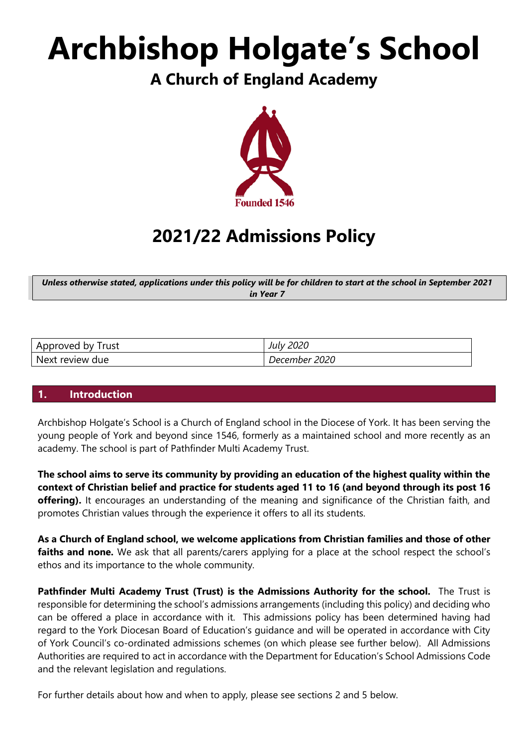# **Archbishop Holgate's School**

# **A Church of England Academy**



# **2021/22 Admissions Policy**

*Unless otherwise stated, applications under this policy will be for children to start at the school in September 2021 in Year 7*

| Approved by Trust | <b>July 2020</b> |
|-------------------|------------------|
| Next review due   | December 2020    |

# **1. Introduction**

Archbishop Holgate's School is a Church of England school in the Diocese of York. It has been serving the young people of York and beyond since 1546, formerly as a maintained school and more recently as an academy. The school is part of Pathfinder Multi Academy Trust.

**The school aims to serve its community by providing an education of the highest quality within the context of Christian belief and practice for students aged 11 to 16 (and beyond through its post 16 offering).** It encourages an understanding of the meaning and significance of the Christian faith, and promotes Christian values through the experience it offers to all its students.

**As a Church of England school, we welcome applications from Christian families and those of other faiths and none.** We ask that all parents/carers applying for a place at the school respect the school's ethos and its importance to the whole community.

**Pathfinder Multi Academy Trust (Trust) is the Admissions Authority for the school.** The Trust is responsible for determining the school's admissions arrangements (including this policy) and deciding who can be offered a place in accordance with it. This admissions policy has been determined having had regard to the York Diocesan Board of Education's guidance and will be operated in accordance with City of York Council's co-ordinated admissions schemes (on which please see further below). All Admissions Authorities are required to act in accordance with the Department for Education's School Admissions Code and the relevant legislation and regulations.

For further details about how and when to apply, please see sections 2 and 5 below.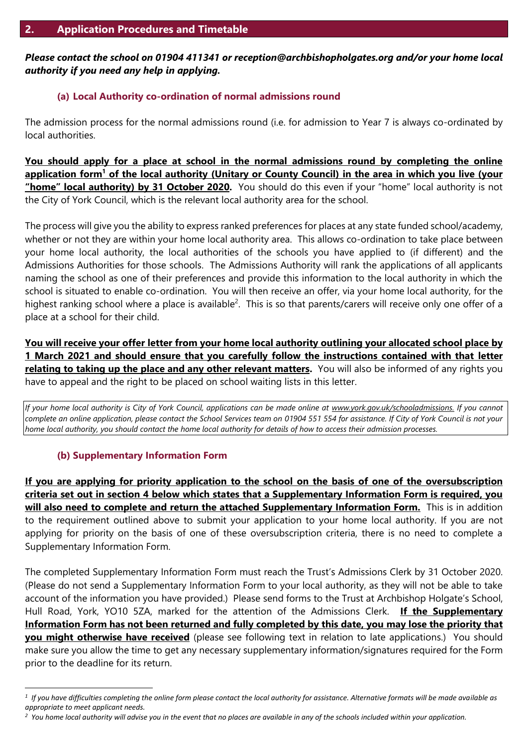# *Please contact the school on 01904 411341 or reception@archbishopholgates.org and/or your home local authority if you need any help in applying.*

# **(a) Local Authority co-ordination of normal admissions round**

The admission process for the normal admissions round (i.e. for admission to Year 7 is always co-ordinated by local authorities.

**You should apply for a place at school in the normal admissions round by completing the online application form<sup>1</sup> of the local authority (Unitary or County Council) in the area in which you live (your "home" local authority) by 31 October 2020.** You should do this even if your "home" local authority is not the City of York Council, which is the relevant local authority area for the school.

The process will give you the ability to express ranked preferences for places at any state funded school/academy, whether or not they are within your home local authority area. This allows co-ordination to take place between your home local authority, the local authorities of the schools you have applied to (if different) and the Admissions Authorities for those schools. The Admissions Authority will rank the applications of all applicants naming the school as one of their preferences and provide this information to the local authority in which the school is situated to enable co-ordination. You will then receive an offer, via your home local authority, for the highest ranking school where a place is available<sup>2</sup>. This is so that parents/carers will receive only one offer of a place at a school for their child.

**You will receive your offer letter from your home local authority outlining your allocated school place by 1 March 2021 and should ensure that you carefully follow the instructions contained with that letter relating to taking up the place and any other relevant matters.** You will also be informed of any rights you have to appeal and the right to be placed on school waiting lists in this letter.

*If your home local authority is City of York Council, applications can be made online at [www.york.gov.uk/schooladmissions.](http://www.york.gov.uk/schooladmissions) If you cannot complete an online application, please contact the School Services team on 01904 551 554 for assistance. If City of York Council is not your home local authority, you should contact the home local authority for details of how to access their admission processes.*

# **(b) Supplementary Information Form**

 $\overline{a}$ 

**If you are applying for priority application to the school on the basis of one of the oversubscription criteria set out in section 4 below which states that a Supplementary Information Form is required, you will also need to complete and return the attached Supplementary Information Form.** This is in addition to the requirement outlined above to submit your application to your home local authority. If you are not applying for priority on the basis of one of these oversubscription criteria, there is no need to complete a Supplementary Information Form.

The completed Supplementary Information Form must reach the Trust's Admissions Clerk by 31 October 2020. (Please do not send a Supplementary Information Form to your local authority, as they will not be able to take account of the information you have provided.) Please send forms to the Trust at Archbishop Holgate's School, Hull Road, York, YO10 5ZA, marked for the attention of the Admissions Clerk. **If the Supplementary Information Form has not been returned and fully completed by this date, you may lose the priority that you might otherwise have received** (please see following text in relation to late applications.) You should make sure you allow the time to get any necessary supplementary information/signatures required for the Form prior to the deadline for its return.

*<sup>1</sup> If you have difficulties completing the online form please contact the local authority for assistance. Alternative formats will be made available as appropriate to meet applicant needs.*

*<sup>2</sup> You home local authority will advise you in the event that no places are available in any of the schools included within your application.*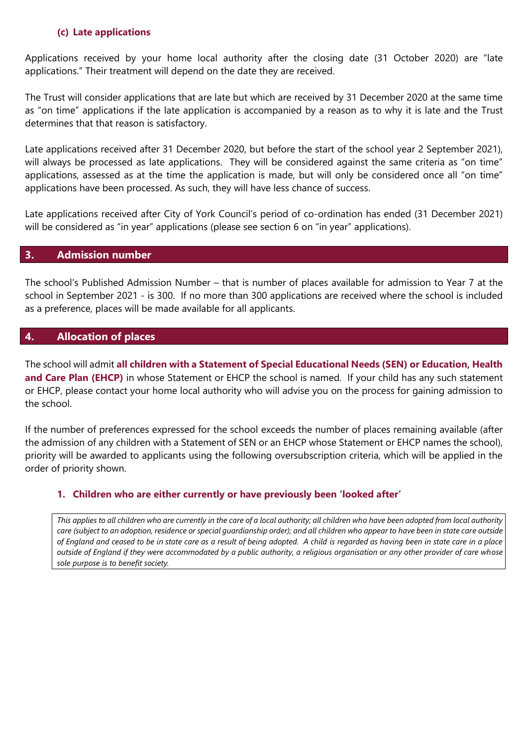#### **(c) Late applications**

Applications received by your home local authority after the closing date (31 October 2020) are "late applications." Their treatment will depend on the date they are received.

The Trust will consider applications that are late but which are received by 31 December 2020 at the same time as "on time" applications if the late application is accompanied by a reason as to why it is late and the Trust determines that that reason is satisfactory.

Late applications received after 31 December 2020, but before the start of the school year 2 September 2021), will always be processed as late applications. They will be considered against the same criteria as "on time" applications, assessed as at the time the application is made, but will only be considered once all "on time" applications have been processed. As such, they will have less chance of success.

Late applications received after City of York Council's period of co-ordination has ended (31 December 2021) will be considered as "in year" applications (please see section 6 on "in year" applications).

#### **3. Admission number**

The school's Published Admission Number – that is number of places available for admission to Year 7 at the school in September 2021 - is 300. If no more than 300 applications are received where the school is included as a preference, places will be made available for all applicants.

# **4. Allocation of places**

The school will admit **all children with a Statement of Special Educational Needs (SEN) or Education, Health and Care Plan (EHCP)** in whose Statement or EHCP the school is named. If your child has any such statement or EHCP, please contact your home local authority who will advise you on the process for gaining admission to the school.

If the number of preferences expressed for the school exceeds the number of places remaining available (after the admission of any children with a Statement of SEN or an EHCP whose Statement or EHCP names the school), priority will be awarded to applicants using the following oversubscription criteria, which will be applied in the order of priority shown.

# **1. Children who are either currently or have previously been 'looked after'**

*This applies to all children who are currently in the care of a local authority; all children who have been adopted from local authority care (subject to an adoption, residence or special guardianship order); and all children who appear to have been in state care outside of England and ceased to be in state care as a result of being adopted. A child is regarded as having been in state care in a place outside of England if they were accommodated by a public authority, a religious organisation or any other provider of care whose sole purpose is to benefit society.*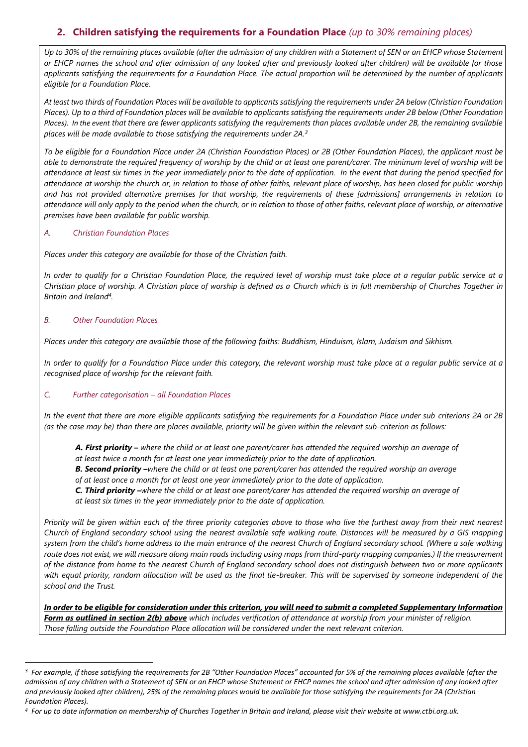# **2. Children satisfying the requirements for a Foundation Place** *(up to 30% remaining places)*

*Up to 30% of the remaining places available (after the admission of any children with a Statement of SEN or an EHCP whose Statement or EHCP names the school and after admission of any looked after and previously looked after children) will be available for those applicants satisfying the requirements for a Foundation Place. The actual proportion will be determined by the number of applicants eligible for a Foundation Place.*

*At least two thirds of Foundation Places will be available to applicants satisfying the requirements under 2A below (Christian Foundation Places). Up to a third of Foundation places will be available to applicants satisfying the requirements under 2B below (Other Foundation Places). In the event that there are fewer applicants satisfying the requirements than places available under 2B, the remaining available places will be made available to those satisfying the requirements under 2A. 3*

*To be eligible for a Foundation Place under 2A (Christian Foundation Places) or 2B (Other Foundation Places), the applicant must be able to demonstrate the required frequency of worship by the child or at least one parent/carer. The minimum level of worship will be attendance at least six times in the year immediately prior to the date of application. In the event that during the period specified for attendance at worship the church or, in relation to those of other faiths, relevant place of worship, has been closed for public worship and has not provided alternative premises for that worship, the requirements of these [admissions] arrangements in relation to attendance will only apply to the period when the church, or in relation to those of other faiths, relevant place of worship, or alternative premises have been available for public worship.*

#### *A. Christian Foundation Places*

*Places under this category are available for those of the Christian faith.*

*In order to qualify for a Christian Foundation Place, the required level of worship must take place at a regular public service at a Christian place of worship. A Christian place of worship is defined as a Church which is in full membership of Churches Together in Britain and Ireland<sup>4</sup> .*

#### *B. Other Foundation Places*

 $\overline{a}$ 

*Places under this category are available those of the following faiths: Buddhism, Hinduism, Islam, Judaism and Sikhism.*

*In order to qualify for a Foundation Place under this category, the relevant worship must take place at a regular public service at a recognised place of worship for the relevant faith.* 

#### *C. Further categorisation – all Foundation Places*

*In the event that there are more eligible applicants satisfying the requirements for a Foundation Place under sub criterions 2A or 2B (as the case may be) than there are places available, priority will be given within the relevant sub-criterion as follows:*

*A. First priority – where the child or at least one parent/carer has attended the required worship an average of at least twice a month for at least one year immediately prior to the date of application.* 

*B. Second priority –where the child or at least one parent/carer has attended the required worship an average of at least once a month for at least one year immediately prior to the date of application.* 

*C. Third priority –where the child or at least one parent/carer has attended the required worship an average of at least six times in the year immediately prior to the date of application.* 

*Priority will be given within each of the three priority categories above to those who live the furthest away from their next nearest Church of England secondary school using the nearest available safe walking route. Distances will be measured by a GIS mapping system from the child's home address to the main entrance of the nearest Church of England secondary school. (Where a safe walking route does not exist, we will measure along main roads including using maps from third-party mapping companies.) If the measurement of the distance from home to the nearest Church of England secondary school does not distinguish between two or more applicants*  with equal priority, random allocation will be used as the final tie-breaker. This will be supervised by someone independent of the *school and the Trust.*

*In order to be eligible for consideration under this criterion, you will need to submit a completed Supplementary Information Form as outlined in section 2(b) above which includes verification of attendance at worship from your minister of religion. Those falling outside the Foundation Place allocation will be considered under the next relevant criterion.* 

<sup>&</sup>lt;sup>3</sup> For example, if those satisfying the requirements for 2B "Other Foundation Places" accounted for 5% of the remaining places available (after the *admission of any children with a Statement of SEN or an EHCP whose Statement or EHCP names the school and after admission of any looked after and previously looked after children), 25% of the remaining places would be available for those satisfying the requirements for 2A (Christian Foundation Places).*

*<sup>4</sup> For up to date information on membership of Churches Together in Britain and Ireland, please visit their website at www.ctbi.org.uk.*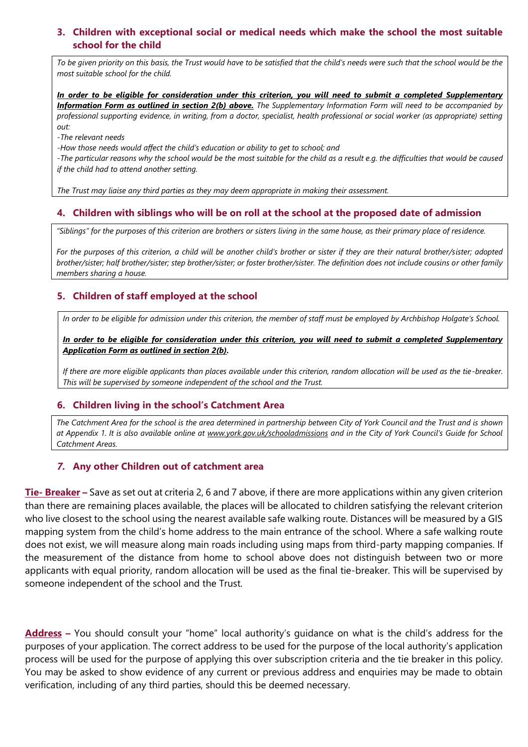#### **3. Children with exceptional social or medical needs which make the school the most suitable school for the child**

*To be given priority on this basis, the Trust would have to be satisfied that the child's needs were such that the school would be the most suitable school for the child.* 

*In order to be eligible for consideration under this criterion, you will need to submit a completed Supplementary Information Form as outlined in section 2(b) above. The Supplementary Information Form will need to be accompanied by professional supporting evidence, in writing, from a doctor, specialist, health professional or social worker (as appropriate) setting out:*

*-The relevant needs*

*-How those needs would affect the child's education or ability to get to school; and*

*-The particular reasons why the school would be the most suitable for the child as a result e.g. the difficulties that would be caused if the child had to attend another setting.* 

*The Trust may liaise any third parties as they may deem appropriate in making their assessment.*

#### **4. Children with siblings who will be on roll at the school at the proposed date of admission**

*"Siblings" for the purposes of this criterion are brothers or sisters living in the same house, as their primary place of residence.* 

*For the purposes of this criterion, a child will be another child's brother or sister if they are their natural brother/sister; adopted brother/sister; half brother/sister; step brother/sister; or foster brother/sister. The definition does not include cousins or other family members sharing a house.*

# **5. Children of staff employed at the school**

*In order to be eligible for admission under this criterion, the member of staff must be employed by Archbishop Holgate's School.*

*In order to be eligible for consideration under this criterion, you will need to submit a completed Supplementary Application Form as outlined in section 2(b).*

*If there are more eligible applicants than places available under this criterion, random allocation will be used as the tie-breaker. This will be supervised by someone independent of the school and the Trust.*

#### **6. Children living in the school's Catchment Area**

*The Catchment Area for the school is the area determined in partnership between City of York Council and the Trust and is shown at Appendix 1. It is also available online at [www.york.gov.uk/schooladmissions](http://www.york.gov.uk/schooladmissions) and in the City of York Council's Guide for School Catchment Areas.*

#### *7.* **Any other Children out of catchment area**

**Tie- Breaker –** Save as set out at criteria 2, 6 and 7 above, if there are more applications within any given criterion than there are remaining places available, the places will be allocated to children satisfying the relevant criterion who live closest to the school using the nearest available safe walking route. Distances will be measured by a GIS mapping system from the child's home address to the main entrance of the school. Where a safe walking route does not exist, we will measure along main roads including using maps from third-party mapping companies. If the measurement of the distance from home to school above does not distinguish between two or more applicants with equal priority, random allocation will be used as the final tie-breaker. This will be supervised by someone independent of the school and the Trust.

**Address –** You should consult your "home" local authority's guidance on what is the child's address for the purposes of your application. The correct address to be used for the purpose of the local authority's application process will be used for the purpose of applying this over subscription criteria and the tie breaker in this policy. You may be asked to show evidence of any current or previous address and enquiries may be made to obtain verification, including of any third parties, should this be deemed necessary.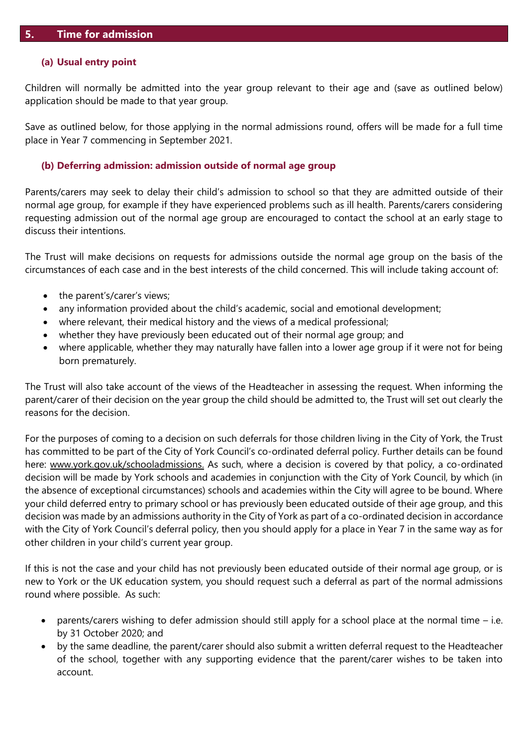#### **(a) Usual entry point**

Children will normally be admitted into the year group relevant to their age and (save as outlined below) application should be made to that year group.

Save as outlined below, for those applying in the normal admissions round, offers will be made for a full time place in Year 7 commencing in September 2021.

#### **(b) Deferring admission: admission outside of normal age group**

Parents/carers may seek to delay their child's admission to school so that they are admitted outside of their normal age group, for example if they have experienced problems such as ill health. Parents/carers considering requesting admission out of the normal age group are encouraged to contact the school at an early stage to discuss their intentions.

The Trust will make decisions on requests for admissions outside the normal age group on the basis of the circumstances of each case and in the best interests of the child concerned. This will include taking account of:

- the parent's/carer's views;
- any information provided about the child's academic, social and emotional development;
- where relevant, their medical history and the views of a medical professional;
- whether they have previously been educated out of their normal age group; and
- where applicable, whether they may naturally have fallen into a lower age group if it were not for being born prematurely.

The Trust will also take account of the views of the Headteacher in assessing the request. When informing the parent/carer of their decision on the year group the child should be admitted to, the Trust will set out clearly the reasons for the decision.

For the purposes of coming to a decision on such deferrals for those children living in the City of York, the Trust has committed to be part of the City of York Council's co-ordinated deferral policy. Further details can be found here: [www.york.gov.uk/schooladmissions.](http://www.york.gov.uk/schooladmissions) As such, where a decision is covered by that policy, a co-ordinated decision will be made by York schools and academies in conjunction with the City of York Council, by which (in the absence of exceptional circumstances) schools and academies within the City will agree to be bound. Where your child deferred entry to primary school or has previously been educated outside of their age group, and this decision was made by an admissions authority in the City of York as part of a co-ordinated decision in accordance with the City of York Council's deferral policy, then you should apply for a place in Year 7 in the same way as for other children in your child's current year group.

If this is not the case and your child has not previously been educated outside of their normal age group, or is new to York or the UK education system, you should request such a deferral as part of the normal admissions round where possible. As such:

- parents/carers wishing to defer admission should still apply for a school place at the normal time i.e. by 31 October 2020; and
- by the same deadline, the parent/carer should also submit a written deferral request to the Headteacher of the school, together with any supporting evidence that the parent/carer wishes to be taken into account.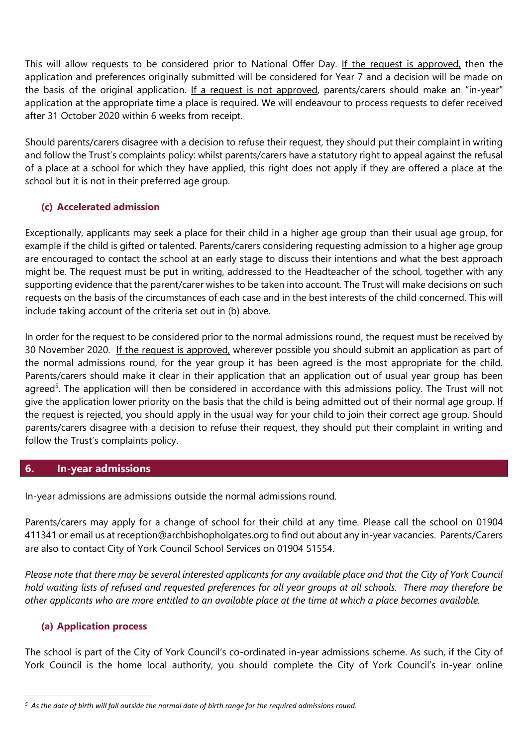This will allow requests to be considered prior to National Offer Day. If the request is approved, then the application and preferences originally submitted will be considered for Year 7 and a decision will be made on the basis of the original application. If a request is not approved, parents/carers should make an "in-year" application at the appropriate time a place is required. We will endeavour to process requests to defer received after 31 October 2020 within 6 weeks from receipt.

Should parents/carers disagree with a decision to refuse their request, they should put their complaint in writing and follow the Trust's complaints policy: whilst parents/carers have a statutory right to appeal against the refusal of a place at a school for which they have applied, this right does not apply if they are offered a place at the school but it is not in their preferred age group.

# **(c) Accelerated admission**

Exceptionally, applicants may seek a place for their child in a higher age group than their usual age group, for example if the child is gifted or talented. Parents/carers considering requesting admission to a higher age group are encouraged to contact the school at an early stage to discuss their intentions and what the best approach might be. The request must be put in writing, addressed to the Headteacher of the school, together with any supporting evidence that the parent/carer wishes to be taken into account. The Trust will make decisions on such requests on the basis of the circumstances of each case and in the best interests of the child concerned. This will include taking account of the criteria set out in (b) above.

In order for the request to be considered prior to the normal admissions round, the request must be received by 30 November 2020. If the request is approved, wherever possible you should submit an application as part of the normal admissions round, for the year group it has been agreed is the most appropriate for the child. Parents/carers should make it clear in their application that an application out of usual year group has been agreed<sup>5</sup>. The application will then be considered in accordance with this admissions policy. The Trust will not give the application lower priority on the basis that the child is being admitted out of their normal age group. If the request is rejected, you should apply in the usual way for your child to join their correct age group. Should parents/carers disagree with a decision to refuse their request, they should put their complaint in writing and follow the Trust's complaints policy.

# **6. In-year admissions**

In-year admissions are admissions outside the normal admissions round.

Parents/carers may apply for a change of school for their child at any time. Please call the school on 01904 411341 or email us at reception@archbishopholgates.org to find out about any in-year vacancies. Parents/Carers are also to contact City of York Council School Services on 01904 51554.

*Please note that there may be several interested applicants for any available place and that the City of York Council hold waiting lists of refused and requested preferences for all year groups at all schools. There may therefore be other applicants who are more entitled to an available place at the time at which a place becomes available.*

# **(a) Application process**

 $\overline{a}$ 

The school is part of the City of York Council's co-ordinated in-year admissions scheme. As such, if the City of York Council is the home local authority, you should complete the City of York Council's in-year online

*<sup>5</sup> As the date of birth will fall outside the normal date of birth range for the required admissions round.*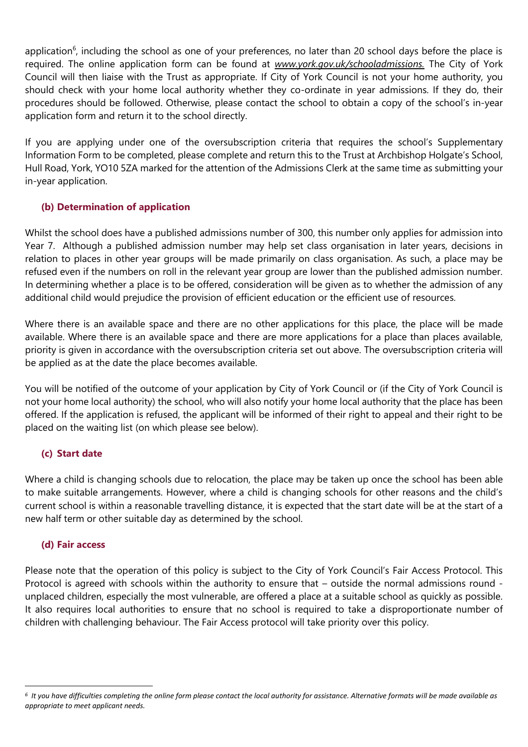application<sup>6</sup>, including the school as one of your preferences, no later than 20 school days before the place is required. The online application form can be found at *[www.york.gov.uk/schooladmissions.](http://www.york.gov.uk/schooladmissions)* The City of York Council will then liaise with the Trust as appropriate. If City of York Council is not your home authority, you should check with your home local authority whether they co-ordinate in year admissions. If they do, their procedures should be followed. Otherwise, please contact the school to obtain a copy of the school's in-year application form and return it to the school directly.

If you are applying under one of the oversubscription criteria that requires the school's Supplementary Information Form to be completed, please complete and return this to the Trust at Archbishop Holgate's School, Hull Road, York, YO10 5ZA marked for the attention of the Admissions Clerk at the same time as submitting your in-year application.

# **(b) Determination of application**

Whilst the school does have a published admissions number of 300, this number only applies for admission into Year 7. Although a published admission number may help set class organisation in later years, decisions in relation to places in other year groups will be made primarily on class organisation. As such, a place may be refused even if the numbers on roll in the relevant year group are lower than the published admission number. In determining whether a place is to be offered, consideration will be given as to whether the admission of any additional child would prejudice the provision of efficient education or the efficient use of resources.

Where there is an available space and there are no other applications for this place, the place will be made available. Where there is an available space and there are more applications for a place than places available, priority is given in accordance with the oversubscription criteria set out above. The oversubscription criteria will be applied as at the date the place becomes available.

You will be notified of the outcome of your application by City of York Council or (if the City of York Council is not your home local authority) the school, who will also notify your home local authority that the place has been offered. If the application is refused, the applicant will be informed of their right to appeal and their right to be placed on the waiting list (on which please see below).

# **(c) Start date**

Where a child is changing schools due to relocation, the place may be taken up once the school has been able to make suitable arrangements. However, where a child is changing schools for other reasons and the child's current school is within a reasonable travelling distance, it is expected that the start date will be at the start of a new half term or other suitable day as determined by the school.

# **(d) Fair access**

 $\overline{a}$ 

Please note that the operation of this policy is subject to the City of York Council's Fair Access Protocol. This Protocol is agreed with schools within the authority to ensure that – outside the normal admissions round unplaced children, especially the most vulnerable, are offered a place at a suitable school as quickly as possible. It also requires local authorities to ensure that no school is required to take a disproportionate number of children with challenging behaviour. The Fair Access protocol will take priority over this policy.

*<sup>6</sup> It you have difficulties completing the online form please contact the local authority for assistance. Alternative formats will be made available as appropriate to meet applicant needs.*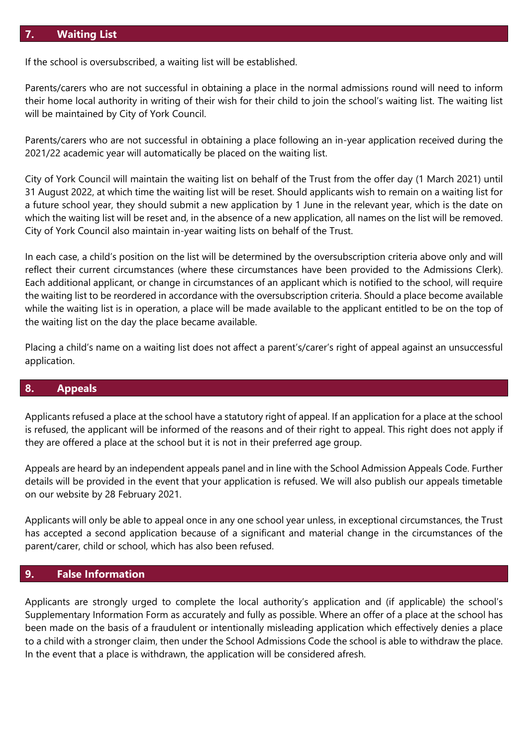#### **7. Waiting List**

If the school is oversubscribed, a waiting list will be established.

Parents/carers who are not successful in obtaining a place in the normal admissions round will need to inform their home local authority in writing of their wish for their child to join the school's waiting list. The waiting list will be maintained by City of York Council.

Parents/carers who are not successful in obtaining a place following an in-year application received during the 2021/22 academic year will automatically be placed on the waiting list.

City of York Council will maintain the waiting list on behalf of the Trust from the offer day (1 March 2021) until 31 August 2022, at which time the waiting list will be reset. Should applicants wish to remain on a waiting list for a future school year, they should submit a new application by 1 June in the relevant year, which is the date on which the waiting list will be reset and, in the absence of a new application, all names on the list will be removed. City of York Council also maintain in-year waiting lists on behalf of the Trust.

In each case, a child's position on the list will be determined by the oversubscription criteria above only and will reflect their current circumstances (where these circumstances have been provided to the Admissions Clerk). Each additional applicant, or change in circumstances of an applicant which is notified to the school, will require the waiting list to be reordered in accordance with the oversubscription criteria. Should a place become available while the waiting list is in operation, a place will be made available to the applicant entitled to be on the top of the waiting list on the day the place became available.

Placing a child's name on a waiting list does not affect a parent's/carer's right of appeal against an unsuccessful application.

#### **8. Appeals**

Applicants refused a place at the school have a statutory right of appeal. If an application for a place at the school is refused, the applicant will be informed of the reasons and of their right to appeal. This right does not apply if they are offered a place at the school but it is not in their preferred age group.

Appeals are heard by an independent appeals panel and in line with the School Admission Appeals Code. Further details will be provided in the event that your application is refused. We will also publish our appeals timetable on our website by 28 February 2021.

Applicants will only be able to appeal once in any one school year unless, in exceptional circumstances, the Trust has accepted a second application because of a significant and material change in the circumstances of the parent/carer, child or school, which has also been refused.

#### **9. False Information**

Applicants are strongly urged to complete the local authority's application and (if applicable) the school's Supplementary Information Form as accurately and fully as possible. Where an offer of a place at the school has been made on the basis of a fraudulent or intentionally misleading application which effectively denies a place to a child with a stronger claim, then under the School Admissions Code the school is able to withdraw the place. In the event that a place is withdrawn, the application will be considered afresh.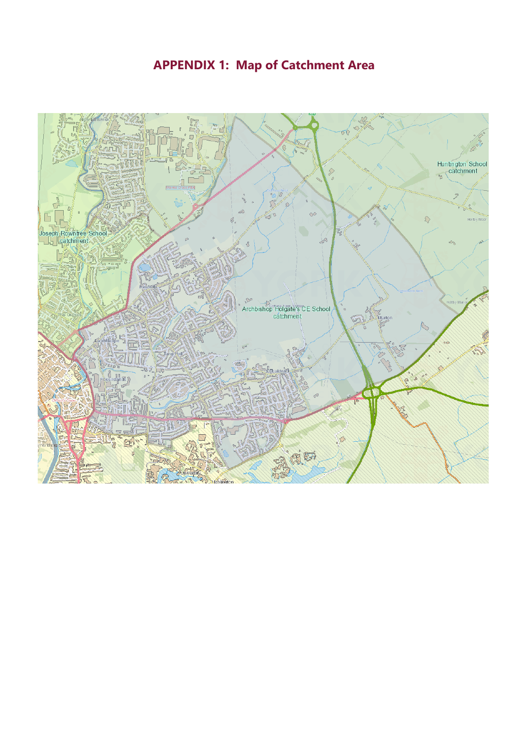# **APPENDIX 1: Map of Catchment Area**

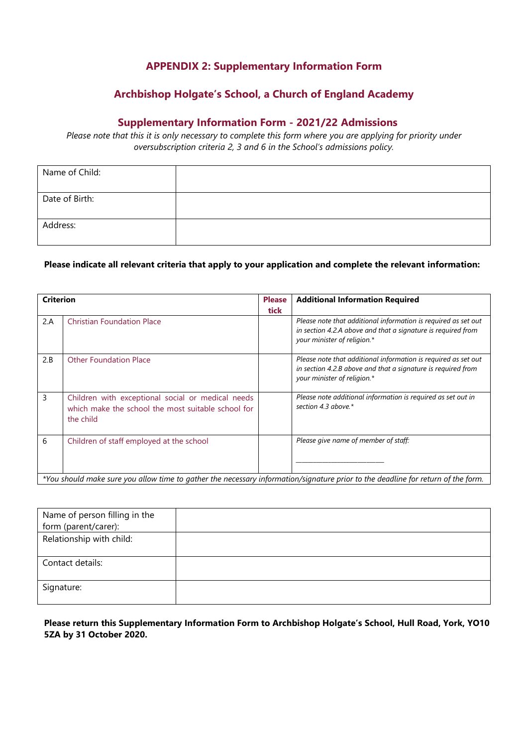# **APPENDIX 2: Supplementary Information Form**

# **Archbishop Holgate's School, a Church of England Academy**

#### **Supplementary Information Form - 2021/22 Admissions**

*Please note that this it is only necessary to complete this form where you are applying for priority under oversubscription criteria 2, 3 and 6 in the School's admissions policy.*

| Name of Child: |  |
|----------------|--|
| Date of Birth: |  |
| Address:       |  |

#### **Please indicate all relevant criteria that apply to your application and complete the relevant information:**

| <b>Criterion</b>                                                                                                                 |                                                                                                                      | <b>Please</b> | <b>Additional Information Required</b>                                                                                                                        |  |
|----------------------------------------------------------------------------------------------------------------------------------|----------------------------------------------------------------------------------------------------------------------|---------------|---------------------------------------------------------------------------------------------------------------------------------------------------------------|--|
|                                                                                                                                  |                                                                                                                      | tick          |                                                                                                                                                               |  |
| 2.A                                                                                                                              | <b>Christian Foundation Place</b>                                                                                    |               | Please note that additional information is required as set out<br>in section 4.2.A above and that a signature is required from<br>your minister of religion.* |  |
| 2.B                                                                                                                              | <b>Other Foundation Place</b>                                                                                        |               | Please note that additional information is required as set out<br>in section 4.2.B above and that a signature is required from<br>your minister of religion.* |  |
| 3                                                                                                                                | Children with exceptional social or medical needs<br>which make the school the most suitable school for<br>the child |               | Please note additional information is required as set out in<br>section 4.3 above.*                                                                           |  |
| 6                                                                                                                                | Children of staff employed at the school                                                                             |               | Please give name of member of staff:                                                                                                                          |  |
| *You should make sure you allow time to gather the necessary information/signature prior to the deadline for return of the form. |                                                                                                                      |               |                                                                                                                                                               |  |

| Name of person filling in the |  |
|-------------------------------|--|
| form (parent/carer):          |  |
| Relationship with child:      |  |
|                               |  |
| Contact details:              |  |
|                               |  |
| Signature:                    |  |
|                               |  |

#### **Please return this Supplementary Information Form to Archbishop Holgate's School, Hull Road, York, YO10 5ZA by 31 October 2020.**